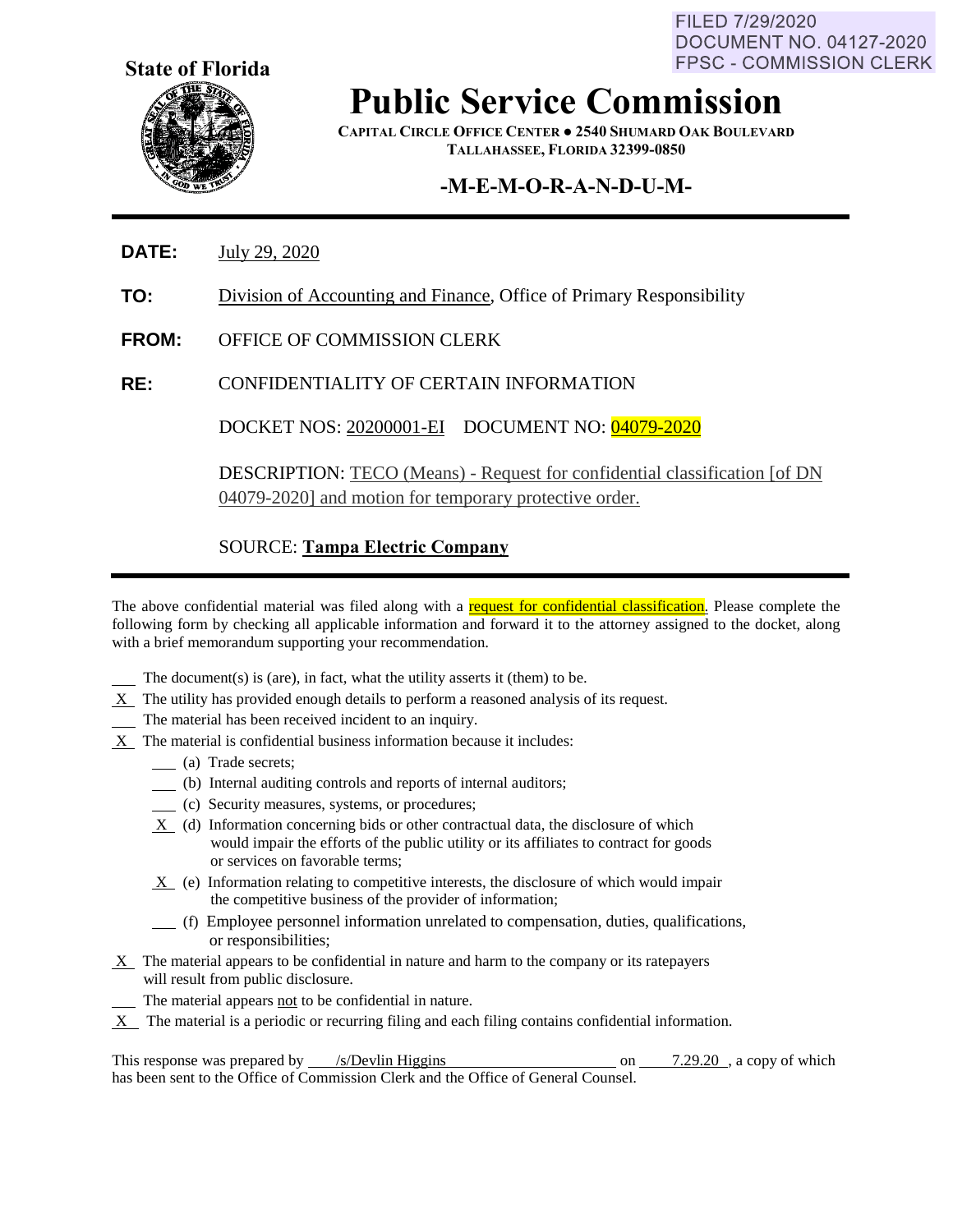FILED 7/29/2020 **DOCUMENT NO. 04127-2020 FPSC - COMMISSION CLERK** 



**Public Service Commission**

**CAPITAL CIRCLE OFFICE CENTER ● 2540 SHUMARD OAK BOULEVARD TALLAHASSEE, FLORIDA 32399-0850**

# **-M-E-M-O-R-A-N-D-U-M-**

- **DATE:** July 29, 2020
- **TO:** Division of Accounting and Finance, Office of Primary Responsibility
- **FROM:** OFFICE OF COMMISSION CLERK
- **RE:** CONFIDENTIALITY OF CERTAIN INFORMATION

DOCKET NOS: 20200001-EI DOCUMENT NO: 04079-2020

DESCRIPTION: TECO (Means) - Request for confidential classification [of DN 04079-2020] and motion for temporary protective order.

### SOURCE: **Tampa Electric Company**

The above confidential material was filed along with a request for confidential classification. Please complete the following form by checking all applicable information and forward it to the attorney assigned to the docket, along with a brief memorandum supporting your recommendation.

- The document(s) is (are), in fact, what the utility asserts it (them) to be.
- $X$  The utility has provided enough details to perform a reasoned analysis of its request.
- The material has been received incident to an inquiry.
- X The material is confidential business information because it includes:
	- (a) Trade secrets;
	- (b) Internal auditing controls and reports of internal auditors;
	- (c) Security measures, systems, or procedures;
	- X (d) Information concerning bids or other contractual data, the disclosure of which would impair the efforts of the public utility or its affiliates to contract for goods or services on favorable terms;
	- $X$  (e) Information relating to competitive interests, the disclosure of which would impair the competitive business of the provider of information;
	- (f) Employee personnel information unrelated to compensation, duties, qualifications, or responsibilities;
- $X$  The material appears to be confidential in nature and harm to the company or its ratepayers will result from public disclosure.
- The material appears not to be confidential in nature.
- X The material is a periodic or recurring filing and each filing contains confidential information.

This response was prepared by  $\frac{\text{/s/Devlin Higgsins}}{\text{Higgs}}$  on  $\frac{7.29.20}{\text{m/s}}$ , a copy of which has been sent to the Office of Commission Clerk and the Office of General Counsel.